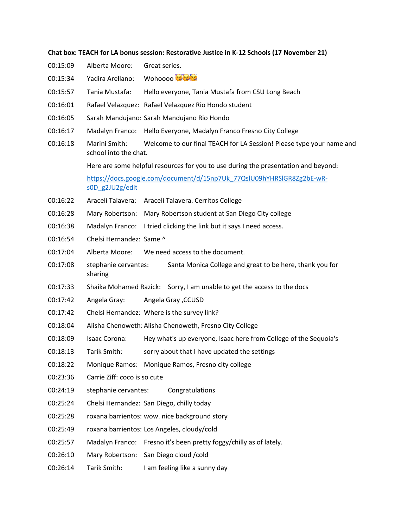| Chat box: TEACH for LA bonus session: Restorative Justice in K-12 Schools (17 November 21) |                                        |                                                                                    |  |
|--------------------------------------------------------------------------------------------|----------------------------------------|------------------------------------------------------------------------------------|--|
| 00:15:09                                                                                   | Alberta Moore:                         | Great series.                                                                      |  |
| 00:15:34                                                                                   | Yadira Arellano:                       | Wohoooo ala                                                                        |  |
| 00:15:57                                                                                   | Tania Mustafa:                         | Hello everyone, Tania Mustafa from CSU Long Beach                                  |  |
| 00:16:01                                                                                   |                                        | Rafael Velazquez: Rafael Velazquez Rio Hondo student                               |  |
| 00:16:05                                                                                   |                                        | Sarah Mandujano: Sarah Mandujano Rio Hondo                                         |  |
| 00:16:17                                                                                   |                                        | Madalyn Franco: Hello Everyone, Madalyn Franco Fresno City College                 |  |
| 00:16:18                                                                                   | Marini Smith:<br>school into the chat. | Welcome to our final TEACH for LA Session! Please type your name and               |  |
|                                                                                            |                                        | Here are some helpful resources for you to use during the presentation and beyond: |  |
|                                                                                            | sOD g2JU2g/edit                        | https://docs.google.com/document/d/15np7Uk 77QsIU09hYHRSIGR8Zg2bE-wR-              |  |
| 00:16:22                                                                                   |                                        | Araceli Talavera: Araceli Talavera. Cerritos College                               |  |
| 00:16:28                                                                                   | Mary Robertson:                        | Mary Robertson student at San Diego City college                                   |  |
| 00:16:38                                                                                   | Madalyn Franco:                        | I tried clicking the link but it says I need access.                               |  |
| 00:16:54                                                                                   | Chelsi Hernandez: Same ^               |                                                                                    |  |
| 00:17:04                                                                                   | Alberta Moore:                         | We need access to the document.                                                    |  |
| 00:17:08                                                                                   | stephanie cervantes:<br>sharing        | Santa Monica College and great to be here, thank you for                           |  |
| 00:17:33                                                                                   |                                        | Shaika Mohamed Razick: Sorry, I am unable to get the access to the docs            |  |
| 00:17:42                                                                                   | Angela Gray:                           | Angela Gray, CCUSD                                                                 |  |
| 00:17:42                                                                                   |                                        | Chelsi Hernandez: Where is the survey link?                                        |  |
| 00:18:04                                                                                   |                                        | Alisha Chenoweth: Alisha Chenoweth, Fresno City College                            |  |
| 00:18:09                                                                                   | Isaac Corona:                          | Hey what's up everyone, Isaac here from College of the Sequoia's                   |  |
| 00:18:13                                                                                   | Tarik Smith:                           | sorry about that I have updated the settings                                       |  |
| 00:18:22                                                                                   | <b>Monique Ramos:</b>                  | Monique Ramos, Fresno city college                                                 |  |
| 00:23:36                                                                                   | Carrie Ziff: coco is so cute           |                                                                                    |  |
| 00:24:19                                                                                   | stephanie cervantes:                   | Congratulations                                                                    |  |
| 00:25:24                                                                                   |                                        | Chelsi Hernandez: San Diego, chilly today                                          |  |
| 00:25:28                                                                                   |                                        | roxana barrientos: wow. nice background story                                      |  |
| 00:25:49                                                                                   |                                        | roxana barrientos: Los Angeles, cloudy/cold                                        |  |
| 00:25:57                                                                                   | Madalyn Franco:                        | Fresno it's been pretty foggy/chilly as of lately.                                 |  |
| 00:26:10                                                                                   | Mary Robertson:                        | San Diego cloud / cold                                                             |  |
| 00:26:14                                                                                   | Tarik Smith:                           | I am feeling like a sunny day                                                      |  |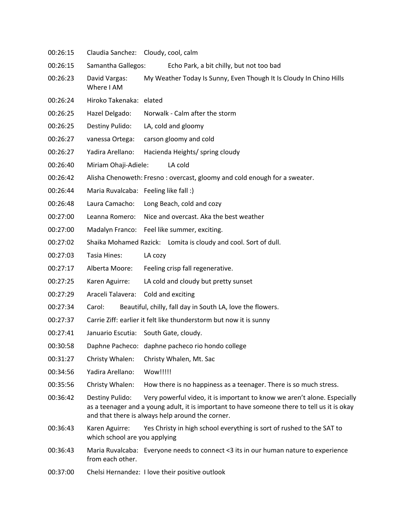- 00:26:15 Claudia Sanchez: Cloudy, cool, calm
- 00:26:15 Samantha Gallegos: Echo Park, a bit chilly, but not too bad
- 00:26:23 David Vargas: My Weather Today Is Sunny, Even Though It Is Cloudy In Chino Hills Where I AM
- 00:26:24 Hiroko Takenaka: elated
- 00:26:25 Hazel Delgado: Norwalk Calm after the storm
- 00:26:25 Destiny Pulido: LA, cold and gloomy
- 00:26:27 vanessa Ortega: carson gloomy and cold
- 00:26:27 Yadira Arellano: Hacienda Heights/ spring cloudy
- 00:26:40 Miriam Ohaji-Adiele: LA cold
- 00:26:42 Alisha Chenoweth: Fresno : overcast, gloomy and cold enough for a sweater.
- 00:26:44 Maria Ruvalcaba: Feeling like fall :)
- 00:26:48 Laura Camacho: Long Beach, cold and cozy
- 00:27:00 Leanna Romero: Nice and overcast. Aka the best weather
- 00:27:00 Madalyn Franco: Feel like summer, exciting.
- 00:27:02 Shaika Mohamed Razick: Lomita is cloudy and cool. Sort of dull.
- 00:27:03 Tasia Hines: LA cozy
- 00:27:17 Alberta Moore: Feeling crisp fall regenerative.
- 00:27:25 Karen Aguirre: LA cold and cloudy but pretty sunset
- 00:27:29 Araceli Talavera: Cold and exciting
- 00:27:34 Carol: Beautiful, chilly, fall day in South LA, love the flowers.
- 00:27:37 Carrie Ziff: earlier it felt like thunderstorm but now it is sunny
- 00:27:41 Januario Escutia: South Gate, cloudy.
- 00:30:58 Daphne Pacheco: daphne pacheco rio hondo college
- 00:31:27 Christy Whalen: Christy Whalen, Mt. Sac
- 00:34:56 Yadira Arellano: Wow!!!!!
- 00:35:56 Christy Whalen: How there is no happiness as a teenager. There is so much stress.
- 00:36:42 Destiny Pulido: Very powerful video, it is important to know we aren't alone. Especially as a teenager and a young adult, it is important to have someone there to tell us it is okay and that there is always help around the corner.
- 00:36:43 Karen Aguirre: Yes Christy in high school everything is sort of rushed to the SAT to which school are you applying
- 00:36:43 Maria Ruvalcaba: Everyone needs to connect <3 its in our human nature to experience from each other.
- 00:37:00 Chelsi Hernandez: I love their positive outlook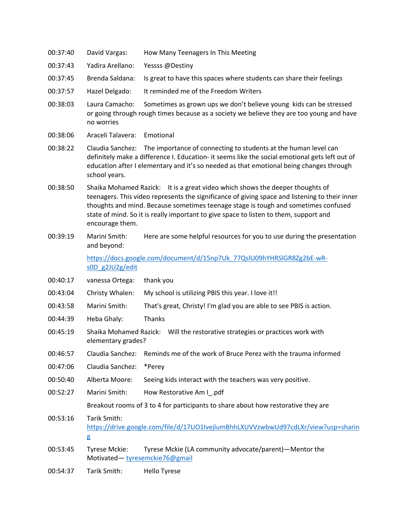- 00:37:40 David Vargas: How Many Teenagers In This Meeting
- 00:37:43 Yadira Arellano: Yessss @Destiny
- 00:37:45 Brenda Saldana: Is great to have this spaces where students can share their feelings
- 00:37:57 Hazel Delgado: It reminded me of the Freedom Writers
- 00:38:03 Laura Camacho: Sometimes as grown ups we don't believe young kids can be stressed or going through rough times because as a society we believe they are too young and have no worries
- 00:38:06 Araceli Talavera: Emotional
- 00:38:22 Claudia Sanchez: The importance of connecting to students at the human level can definitely make a difference I. Education- it seems like the social emotional gets left out of education after I elementary and it's so needed as that emotional being changes through school years.
- 00:38:50 Shaika Mohamed Razick: It is a great video which shows the deeper thoughts of teenagers. This video represents the significance of giving space and listening to their inner thoughts and mind. Because sometimes teenage stage is tough and sometimes confused state of mind. So it is really important to give space to listen to them, support and encourage them.
- 00:39:19 Marini Smith: Here are some helpful resources for you to use during the presentation and beyond:

https://docs.google.com/document/d/15np7Uk\_77QslU09hYHRSlGR8Zg2bE-wRs0D\_g2JU2g/edit

- 00:40:17 vanessa Ortega: thank you
- 00:43:04 Christy Whalen: My school is utilizing PBIS this year. I love it!!
- 00:43:58 Marini Smith: That's great, Christy! I'm glad you are able to see PBIS is action.
- 00:44:39 Heba Ghaly: Thanks
- 00:45:19 Shaika Mohamed Razick: Will the restorative strategies or practices work with elementary grades?
- 00:46:57 Claudia Sanchez: Reminds me of the work of Bruce Perez with the trauma informed
- 00:47:06 Claudia Sanchez: \*Perey
- 00:50:40 Alberta Moore: Seeing kids interact with the teachers was very positive.
- 00:52:27 Marini Smith: How Restorative Am I\_.pdf

Breakout rooms of 3 to 4 for participants to share about how restorative they are

- 00:53:16 Tarik Smith: https://drive.google.com/file/d/17UO1IvejlumBhhLXUVVzwbwUd97cdLXr/view?usp=sharin g
- 00:53:45 Tyrese Mckie: Tyrese Mckie (LA community advocate/parent)—Mentor the Motivated— tyresemckie76@gmail
- 00:54:37 Tarik Smith: Hello Tyrese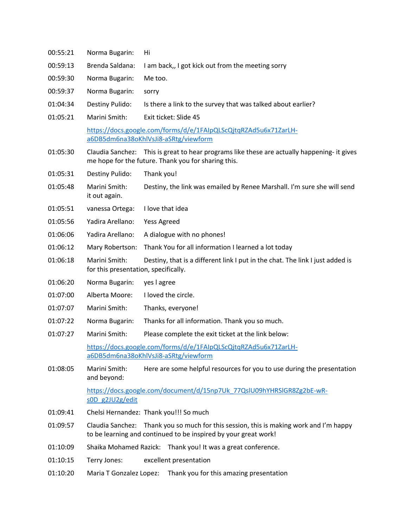| 00:55:21 | Norma Bugarin:                                                                                                                                        | Hi                                                                                                                                                        |
|----------|-------------------------------------------------------------------------------------------------------------------------------------------------------|-----------------------------------------------------------------------------------------------------------------------------------------------------------|
| 00:59:13 | Brenda Saldana:                                                                                                                                       | I am back,, I got kick out from the meeting sorry                                                                                                         |
| 00:59:30 | Norma Bugarin:                                                                                                                                        | Me too.                                                                                                                                                   |
| 00:59:37 | Norma Bugarin:                                                                                                                                        | sorry                                                                                                                                                     |
| 01:04:34 | Destiny Pulido:                                                                                                                                       | Is there a link to the survey that was talked about earlier?                                                                                              |
| 01:05:21 | Marini Smith:                                                                                                                                         | Exit ticket: Slide 45                                                                                                                                     |
|          | https://docs.google.com/forms/d/e/1FAIpQLScQjtqRZAd5u6x71ZarLH-<br>a6DB5dm6na38oKhlVsJi8-aSRtg/viewform                                               |                                                                                                                                                           |
| 01:05:30 | Claudia Sanchez:<br>This is great to hear programs like these are actually happening- it gives<br>me hope for the future. Thank you for sharing this. |                                                                                                                                                           |
| 01:05:31 | Destiny Pulido:                                                                                                                                       | Thank you!                                                                                                                                                |
| 01:05:48 | Marini Smith:<br>it out again.                                                                                                                        | Destiny, the link was emailed by Renee Marshall. I'm sure she will send                                                                                   |
| 01:05:51 | vanessa Ortega:                                                                                                                                       | I love that idea                                                                                                                                          |
| 01:05:56 | Yadira Arellano:                                                                                                                                      | <b>Yess Agreed</b>                                                                                                                                        |
| 01:06:06 | Yadira Arellano:                                                                                                                                      | A dialogue with no phones!                                                                                                                                |
| 01:06:12 | Mary Robertson:                                                                                                                                       | Thank You for all information I learned a lot today                                                                                                       |
| 01:06:18 | Marini Smith:<br>Destiny, that is a different link I put in the chat. The link I just added is<br>for this presentation, specifically.                |                                                                                                                                                           |
| 01:06:20 | Norma Bugarin:                                                                                                                                        | yes I agree                                                                                                                                               |
| 01:07:00 | Alberta Moore:                                                                                                                                        | I loved the circle.                                                                                                                                       |
| 01:07:07 | Marini Smith:                                                                                                                                         | Thanks, everyone!                                                                                                                                         |
| 01:07:22 | Norma Bugarin:                                                                                                                                        | Thanks for all information. Thank you so much.                                                                                                            |
| 01:07:27 | Marini Smith:                                                                                                                                         | Please complete the exit ticket at the link below:                                                                                                        |
|          | https://docs.google.com/forms/d/e/1FAIpQLScQjtqRZAd5u6x71ZarLH-<br>a6DB5dm6na38oKhlVsJi8-aSRtg/viewform                                               |                                                                                                                                                           |
| 01:08:05 | Marini Smith:<br>and beyond:                                                                                                                          | Here are some helpful resources for you to use during the presentation                                                                                    |
|          | sOD g2JU2g/edit                                                                                                                                       | https://docs.google.com/document/d/15np7Uk 77QsIU09hYHRSIGR8Zg2bE-wR-                                                                                     |
| 01:09:41 |                                                                                                                                                       | Chelsi Hernandez: Thank you!!! So much                                                                                                                    |
| 01:09:57 |                                                                                                                                                       | Claudia Sanchez: Thank you so much for this session, this is making work and I'm happy<br>to be learning and continued to be inspired by your great work! |
| 01:10:09 |                                                                                                                                                       | Shaika Mohamed Razick: Thank you! It was a great conference.                                                                                              |
| 01:10:15 | Terry Jones:                                                                                                                                          | excellent presentation                                                                                                                                    |
| 01:10:20 | Maria T Gonzalez Lopez:                                                                                                                               | Thank you for this amazing presentation                                                                                                                   |